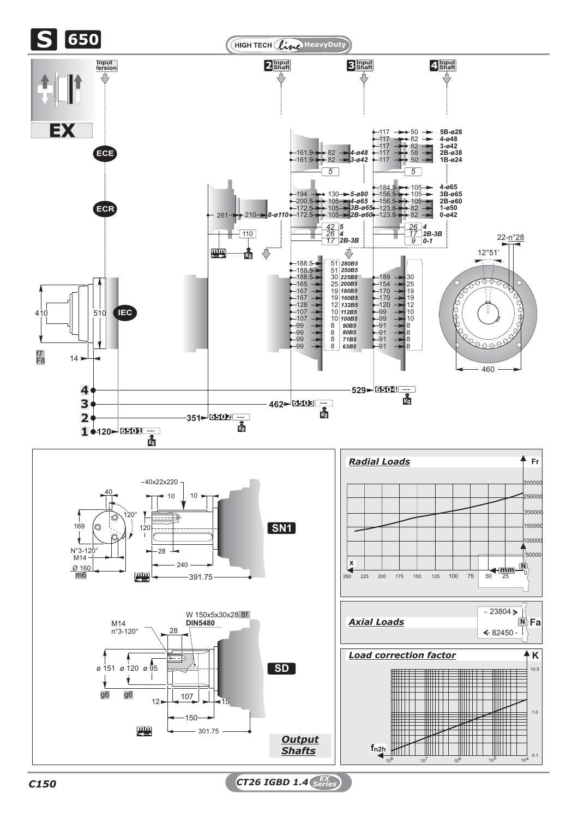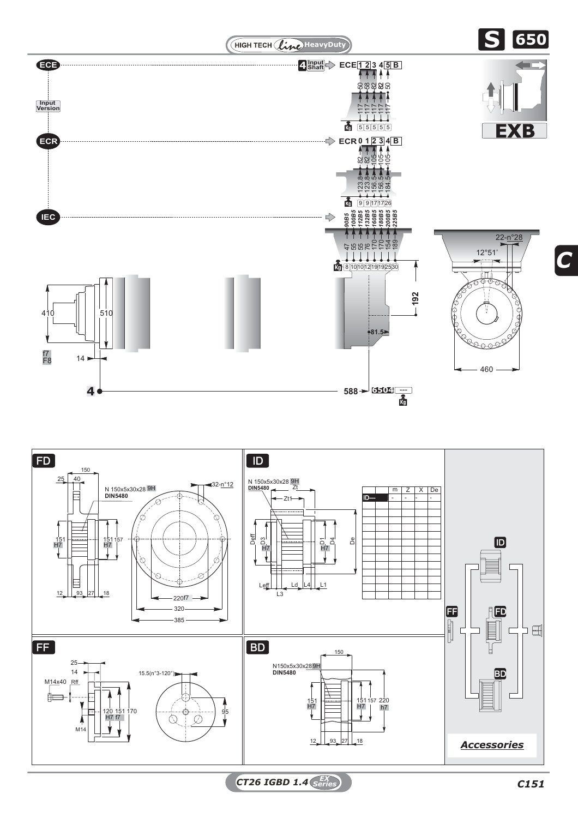



*CT26 IGBD 1.4 C151 EX Series*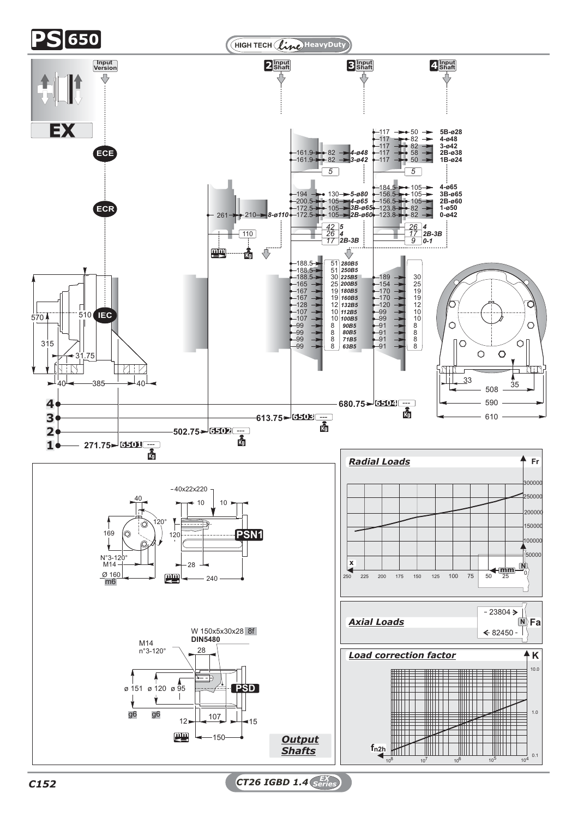

*C152 CT26 IGBD 1.4 EX Series*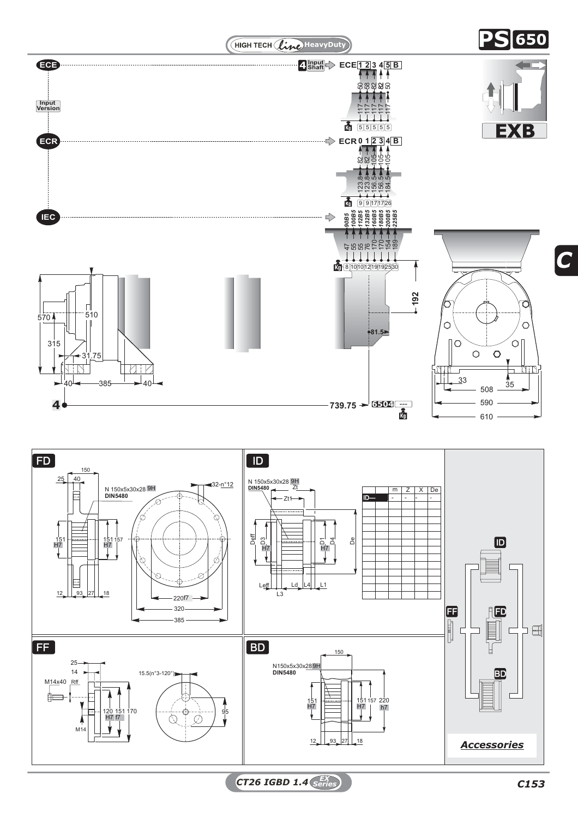

*C*

**PST <sup>650</sup>**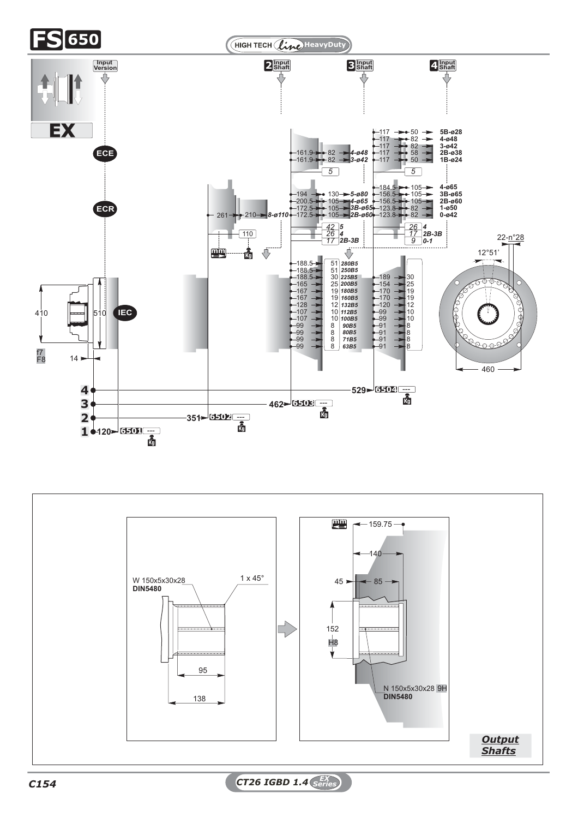

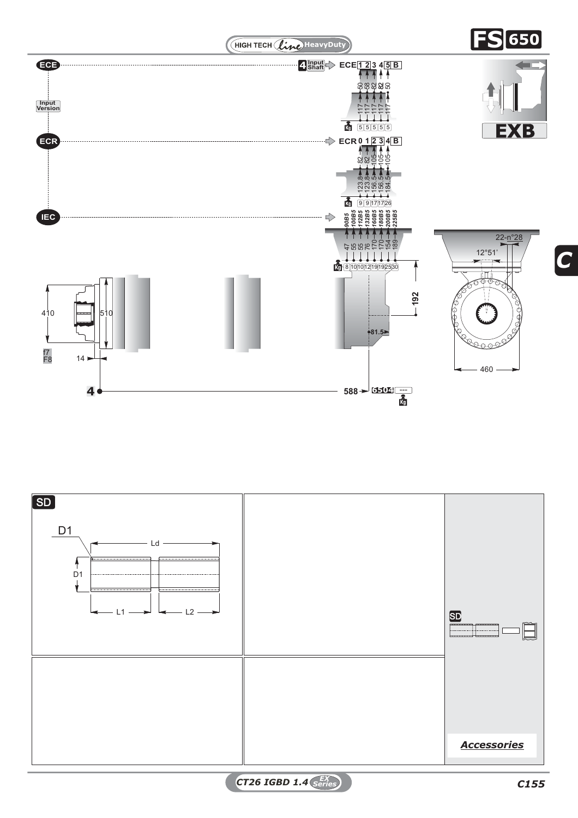

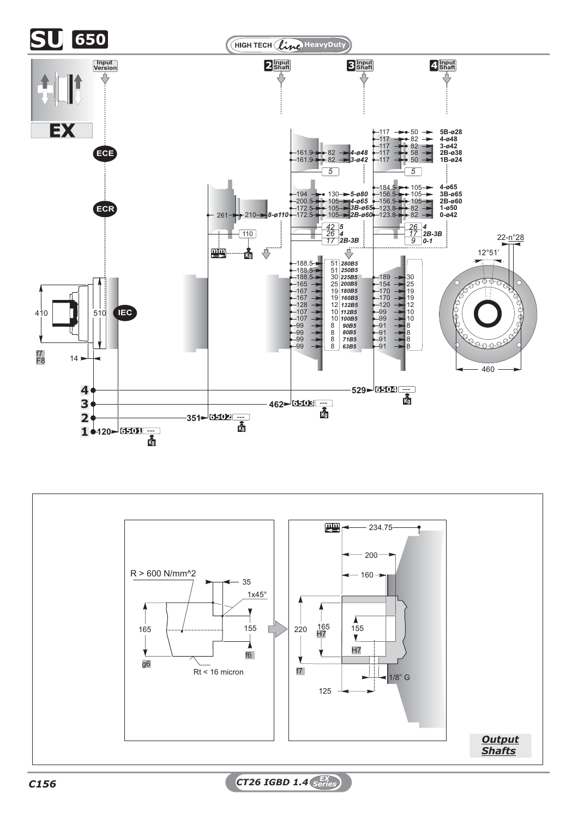



*C156 CT26 IGBD 1.4 EX Series*